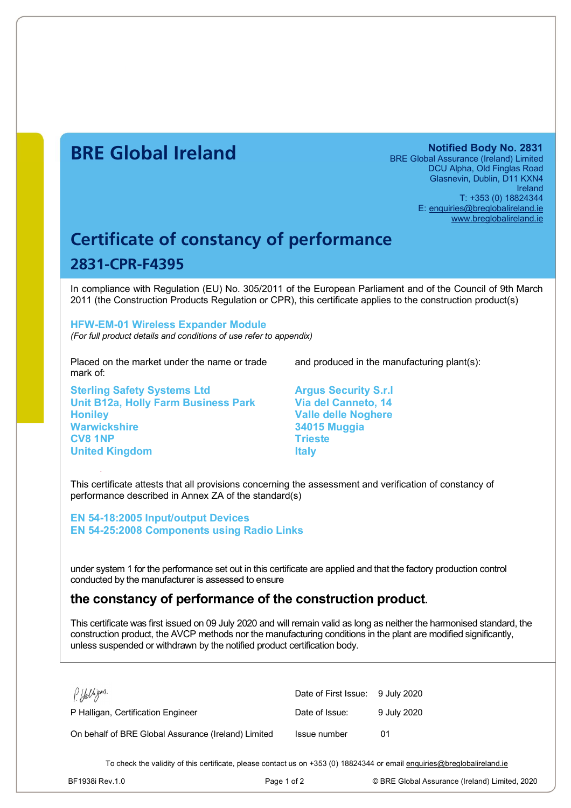# **BRE Global Ireland Notified Body No. 2831**

BRE Global Assurance (Ireland) Limited DCU Alpha, Old Finglas Road Glasnevin, Dublin, D11 KXN4 Ireland T: +353 (0) 18824344 E: [enquiries@breglobalireland.ie](mailto:enquiries@breglobalireland.ie) [www.breglobalireland.ie](http://www.breglobalireland.ie)

# **Certificate of constancy of performance 2831-CPR-F4395**

In compliance with Regulation (EU) No. 305/2011 of the European Parliament and of the Council of 9th March 2011 (the Construction Products Regulation or CPR), this certificate applies to the construction product(s)

### **HFW-EM-01 Wireless Expander Module**  *(For full product details and conditions of use refer to appendix)*

Placed on the market under the name or trade mark of:

**Sterling Safety Systems Ltd Unit B12a, Holly Farm Business Park Honiley Warwickshire CV8 1NP United Kingdom** 

and produced in the manufacturing plant(s):

**Argus Security S.r.l Via del Canneto, 14 Valle delle Noghere 34015 Muggia Trieste Italy**

This certificate attests that all provisions concerning the assessment and verification of constancy of performance described in Annex ZA of the standard(s)

**EN 54-18:2005 Input/output Devices EN 54-25:2008 Components using Radio Links** 

under system 1 for the performance set out in this certificate are applied and that the factory production control conducted by the manufacturer is assessed to ensure

## **the constancy of performance of the construction product.**

This certificate was first issued on 09 July 2020 and will remain valid as long as neither the harmonised standard, the construction product, the AVCP methods nor the manufacturing conditions in the plant are modified significantly, unless suspended or withdrawn by the notified product certification body.

| P. Halligan.                                        | Date of First Issue: 9 July 2020 |             |
|-----------------------------------------------------|----------------------------------|-------------|
| P Halligan, Certification Engineer                  | Date of Issue:                   | 9 July 2020 |
| On behalf of BRE Global Assurance (Ireland) Limited | Issue number                     | 01          |

To check the validity of this certificate, please contact us on +353 (0) 18824344 or email [enquiries@breglobalireland.ie](mailto:enquiries@breglobalireland.ie)